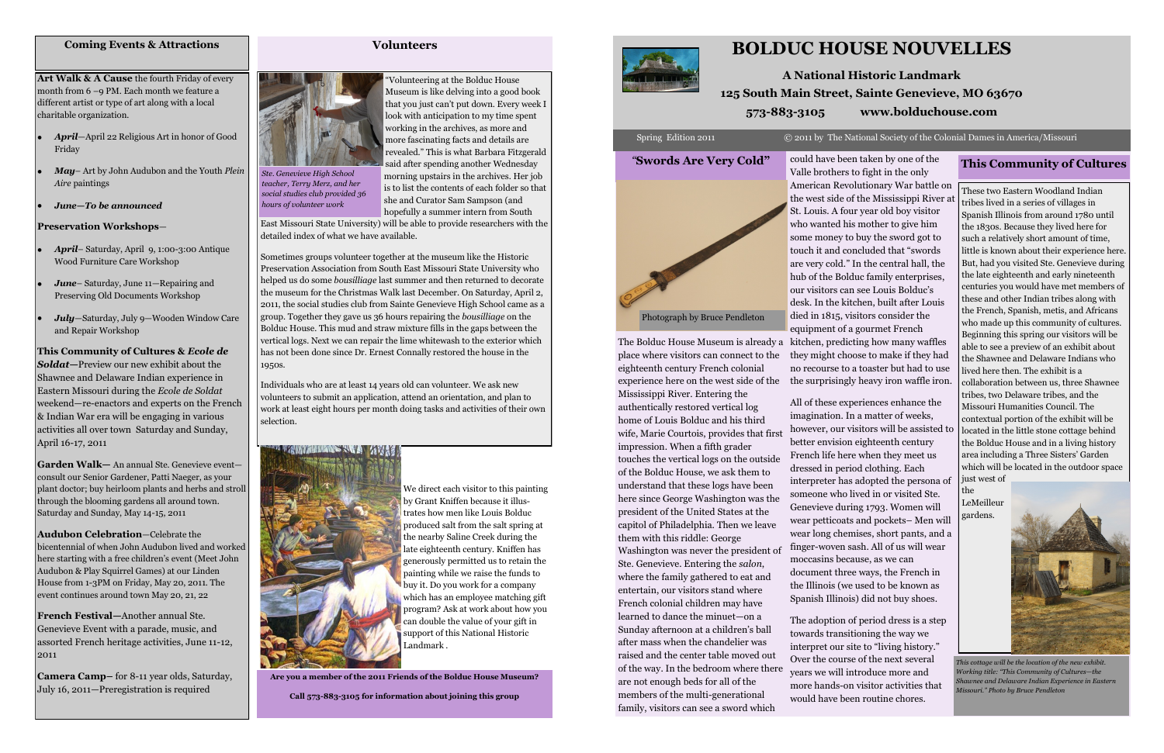# **BOLDUC HOUSE NOUVELLES**

# **A National Historic Landmark 125 South Main Street, Sainte Genevieve, MO 63670 573-883-3105 www.bolduchouse.com**

### Spring Edition 2011 © 2011 by The National Society of the Colonial Dames in America/Missouri

The Bolduc House Museum is already a place where visitors can connect to the eighteenth century French colonial experience here on the west side of the Mississippi River. Entering the authentically restored vertical log home of Louis Bolduc and his third wife, Marie Courtois, provides that first impression. When a fifth grader touches the vertical logs on the outside of the Bolduc House, we ask them to understand that these logs have been here since George Washington was the president of the United States at the capitol of Philadelphia. Then we leave them with this riddle: George Washington was never the president of Ste. Genevieve. Entering the *salon*, where the family gathered to eat and entertain, our visitors stand where French colonial children may have learned to dance the minuet—on a Sunday afternoon at a children's ball after mass when the chandelier was raised and the center table moved out of the way. In the bedroom where there are not enough beds for all of the members of the multi-generational

family, visitors can see a sword which

interpreter has adopted the persona of someone who lived in or visited Ste. Genevieve during 1793. Women will wear petticoats and pockets– Men will wear long chemises, short pants, and a finger-woven sash. All of us will wear moccasins because, as we can document three ways, the French in the Illinois (we used to be known as Spanish Illinois) did not buy shoes.

The adoption of period dress is a step towards transitioning the way we interpret our site to "living history." Over the course of the next several years we will introduce more and more hands-on visitor activities that would have been routine chores.

### *"***Swords Are Very Cold"**



### **Volunteers**



―Volunteering at the Bolduc House Museum is like delving into a good book that you just can't put down. Every week I look with anticipation to my time spent working in the archives, as more and more fascinating facts and details are revealed." This is what Barbara Fitzgerald said after spending another Wednesday

morning upstairs in the archives. Her job is to list the contents of each folder so that she and Curator Sam Sampson (and hopefully a summer intern from South

could have been taken by one of the Valle brothers to fight in the only American Revolutionary War battle on the west side of the Mississippi River at St. Louis. A four year old boy visitor who wanted his mother to give him some money to buy the sword got to touch it and concluded that "swords are very cold." In the central hall, the hub of the Bolduc family enterprises, our visitors can see Louis Bolduc's desk. In the kitchen, built after Louis died in 1815, visitors consider the equipment of a gourmet French kitchen, predicting how many waffles they might choose to make if they had no recourse to a toaster but had to use the surprisingly heavy iron waffle iron. All of these experiences enhance the imagination. In a matter of weeks, however, our visitors will be assisted to better envision eighteenth century French life here when they meet us dressed in period clothing. Each **This Community of Cultures** These two Eastern Woodland Indian tribes lived in a series of villages in Spanish Illinois from around 1780 until the 1830s. Because they lived here for such a relatively short amount of time, little is known about their experience here. But, had you visited Ste. Genevieve during the late eighteenth and early nineteenth centuries you would have met members of these and other Indian tribes along with the French, Spanish, metis, and Africans who made up this community of cultures. Beginning this spring our visitors will be able to see a preview of an exhibit about the Shawnee and Delaware Indians who lived here then. The exhibit is a collaboration between us, three Shawnee tribes, two Delaware tribes, and the Missouri Humanities Council. The contextual portion of the exhibit will be located in the little stone cottage behind the Bolduc House and in a living history area including a Three Sisters' Garden which will be located in the outdoor space

East Missouri State University) will be able to provide researchers with the detailed index of what we have available.

Sometimes groups volunteer together at the museum like the Historic Preservation Association from South East Missouri State University who helped us do some *bousilliage* last summer and then returned to decorate the museum for the Christmas Walk last December. On Saturday, April 2, 2011, the social studies club from Sainte Genevieve High School came as a group. Together they gave us 36 hours repairing the *bousilliage* on the Bolduc House. This mud and straw mixture fills in the gaps between the vertical logs. Next we can repair the lime whitewash to the exterior which has not been done since Dr. Ernest Connally restored the house in the 1950s.

Individuals who are at least 14 years old can volunteer. We ask new volunteers to submit an application, attend an orientation, and plan to work at least eight hours per month doing tasks and activities of their own selection.



just west of the LeMeilleur gardens.

**Art Walk & A Cause** the fourth Friday of every month from 6 –9 PM. Each month we feature a different artist or type of art along with a local charitable organization.

- *April*—April 22 Religious Art in honor of Good Friday
- *May* Art by John Audubon and the Youth *Plein Aire* paintings
- *June—To be announced*

### **Preservation Workshops**—

- *April* Saturday, April 9, 1:00-3:00 Antique Wood Furniture Care Workshop
- *June* Saturday, June 11—Repairing and Preserving Old Documents Workshop
- *July*—Saturday, July 9—Wooden Window Care and Repair Workshop

**This Community of Cultures &** *Ecole de Soldat***—**Preview our new exhibit about the Shawnee and Delaware Indian experience in Eastern Missouri during the *Ecole de Soldat*  weekend—re-enactors and experts on the French & Indian War era will be engaging in various activities all over town Saturday and Sunday, April 16-17, 2011

**Garden Walk—** An annual Ste. Genevieve event consult our Senior Gardener, Patti Naeger, as your plant doctor; buy heirloom plants and herbs and stroll through the blooming gardens all around town. Saturday and Sunday, May 14-15, 2011

**Audubon Celebration**—Celebrate the bicentennial of when John Audubon lived and worked here starting with a free children's event (Meet John Audubon & Play Squirrel Games) at our Linden House from 1-3PM on Friday, May 20, 2011. The event continues around town May 20, 21, 22

**French Festival—**Another annual Ste. Genevieve Event with a parade, music, and assorted French heritage activities, June 11-12, 2011

**Camera Camp–** for 8-11 year olds, Saturday, July 16, 2011—Preregistration is required

### **Coming Events & Attractions**

*Ste. Genevieve High School teacher, Terry Merz, and her social studies club provided 36 hours of volunteer work* 

**Are you a member of the 2011 Friends of the Bolduc House Museum?**

**Call 573-883-3105 for information about joining this group**





*This cottage will be the location of the new exhibit. Working title: "This Community of Cultures—the Shawnee and Delaware Indian Experience in Eastern Missouri." Photo by Bruce Pendleton*

Photograph by Bruce Pendleton

We direct each visitor to this painting by Grant Kniffen because it illustrates how men like Louis Bolduc produced salt from the salt spring at the nearby Saline Creek during the late eighteenth century. Kniffen has generously permitted us to retain the painting while we raise the funds to buy it. Do you work for a company which has an employee matching gift program? Ask at work about how you can double the value of your gift in support of this National Historic Landmark .